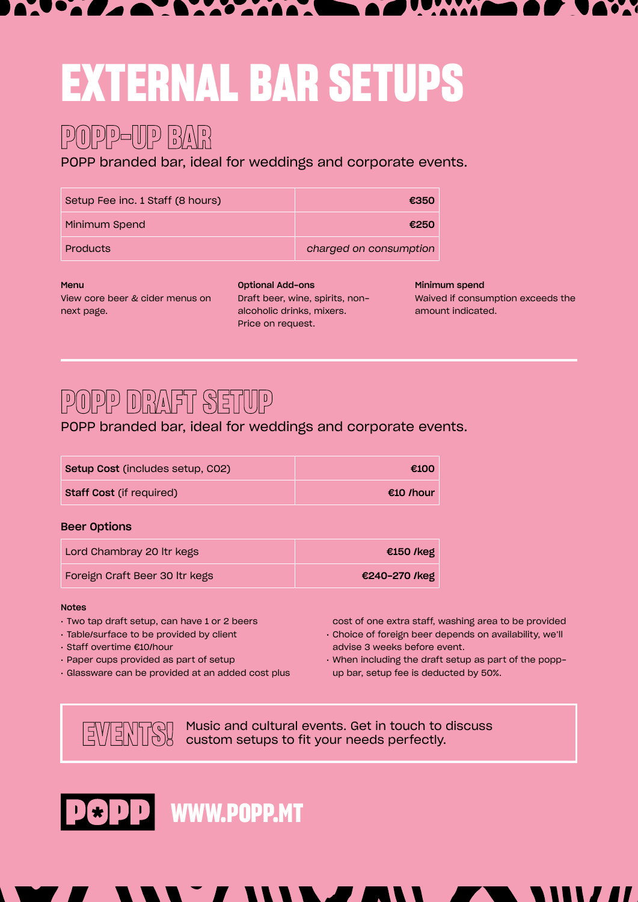# **EXTERNAL BAR SETUPS**

## **POPP-UP BAR**

POPP branded bar, ideal for weddings and corporate events.

| Setup Fee inc. 1 Staff (8 hours) | €350                   |
|----------------------------------|------------------------|
| Minimum Spend                    | €250                   |
| Products                         | charged on consumption |

#### Menu

View core beer & cider menus on next page.

Optional Add-ons Draft beer, wine, spirits, nonalcoholic drinks, mixers. Price on request.

Minimum spend Waived if consumption exceeds the amount indicated.

### **POPP DRAFT SETUP**

POPP branded bar, ideal for weddings and corporate events.

| Setup Cost (includes setup, CO2) | €100      |
|----------------------------------|-----------|
| <b>Staff Cost (if required)</b>  | €10 /hour |
|                                  |           |

### Beer Options

| Lord Chambray 20 Itr kegs      | €150 /keg     |
|--------------------------------|---------------|
| Foreign Craft Beer 30 Itr kegs | €240-270 /keg |

### Notes

- Two tap draft setup, can have 1 or 2 beers
- Table/surface to be provided by client
- Staff overtime €10/hour
- Paper cups provided as part of setup
- Glassware can be provided at an added cost plus
- cost of one extra staff, washing area to be provided • Choice of foreign beer depends on availability, we'll advise 3 weeks before event.
- When including the draft setup as part of the poppup bar, setup fee is deducted by 50%.

**EVENTS!** Music and cultural events. Get in touch to discuss<br>EVENTS! custom setups to fit your needs perfectly. custom setups to fit your needs perfectly.



**WWW.POPP.MT**